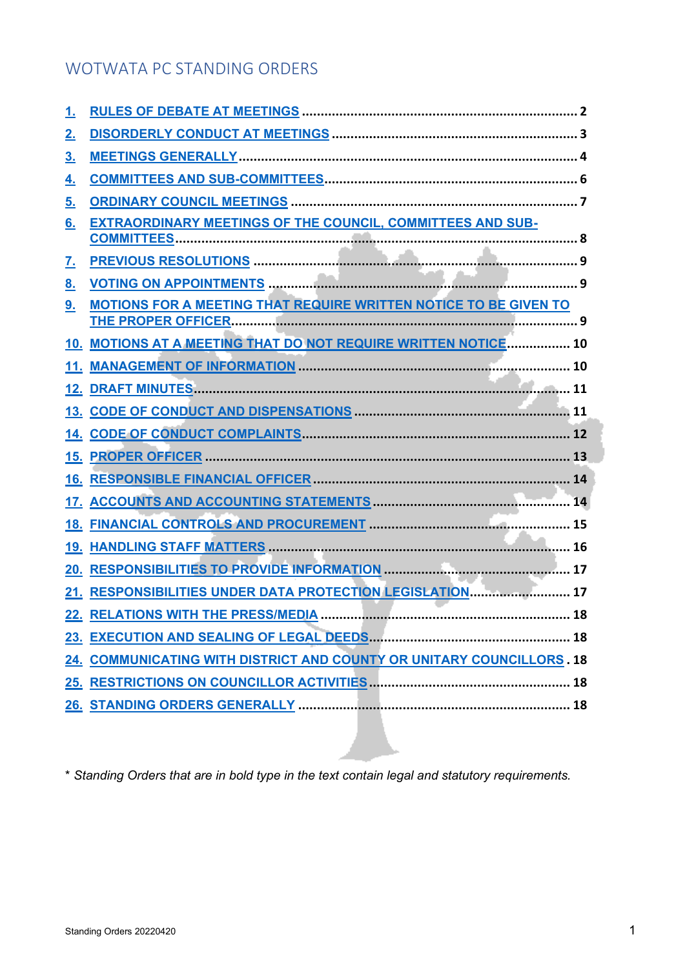# WOTWATA PC STANDING ORDERS

| <u>1.</u> |                                                                         |
|-----------|-------------------------------------------------------------------------|
| <u>2.</u> |                                                                         |
| <u>3.</u> |                                                                         |
| <u>4.</u> |                                                                         |
| <u>5.</u> |                                                                         |
| 6.        | <b>EXTRAORDINARY MEETINGS OF THE COUNCIL, COMMITTEES AND SUB-</b>       |
|           |                                                                         |
| <u>7.</u> |                                                                         |
| <u>8.</u> |                                                                         |
| 9.        | <b>MOTIONS FOR A MEETING THAT REQUIRE WRITTEN NOTICE TO BE GIVEN TO</b> |
|           | 10. MOTIONS AT A MEETING THAT DO NOT REQUIRE WRITTEN NOTICE 10          |
|           |                                                                         |
|           |                                                                         |
|           |                                                                         |
|           |                                                                         |
|           |                                                                         |
|           |                                                                         |
|           |                                                                         |
|           |                                                                         |
|           |                                                                         |
| 20.       |                                                                         |
|           | 21. RESPONSIBILITIES UNDER DATA PROTECTION LEGISLATION 17               |
|           | 22. RELATIONS WITH THE PRESS/MEDIA<br>18                                |
|           |                                                                         |
|           | 24. COMMUNICATING WITH DISTRICT AND COUNTY OR UNITARY COUNCILLORS. 18   |
|           |                                                                         |
|           |                                                                         |

\* *Standing Orders that are in bold type in the text contain legal and statutory requirements.*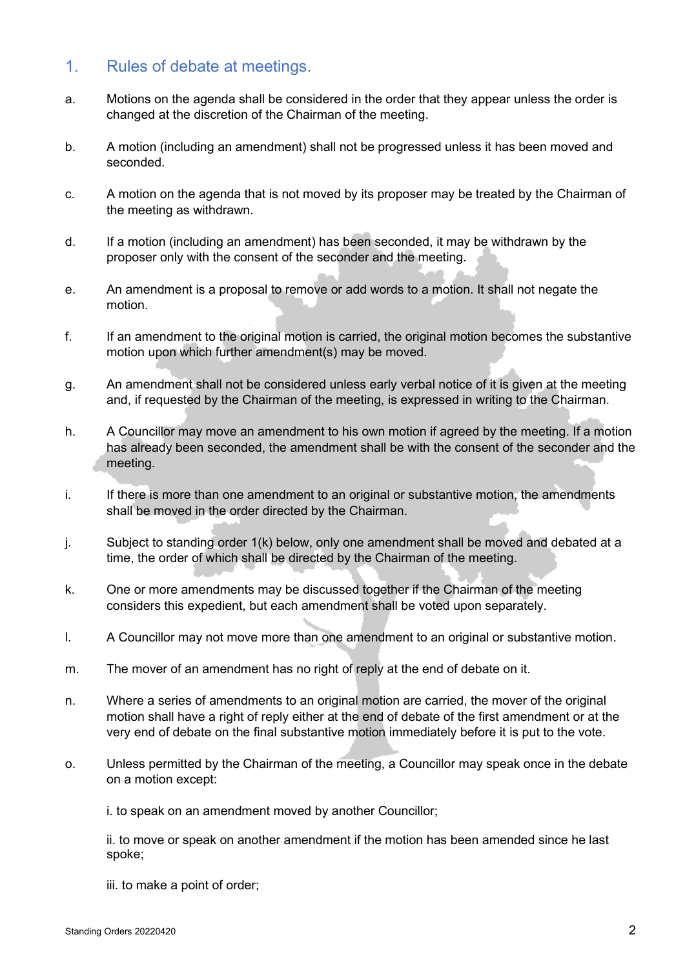#### 1. Rules of debate at meetings.

- a. Motions on the agenda shall be considered in the order that they appear unless the order is changed at the discretion of the Chairman of the meeting.
- b. A motion (including an amendment) shall not be progressed unless it has been moved and seconded.
- c. A motion on the agenda that is not moved by its proposer may be treated by the Chairman of the meeting as withdrawn.
- d. If a motion (including an amendment) has been seconded, it may be withdrawn by the proposer only with the consent of the seconder and the meeting.
- e. An amendment is a proposal to remove or add words to a motion. It shall not negate the motion.
- f. If an amendment to the original motion is carried, the original motion becomes the substantive motion upon which further amendment(s) may be moved.
- g. An amendment shall not be considered unless early verbal notice of it is given at the meeting and, if requested by the Chairman of the meeting, is expressed in writing to the Chairman.
- h. A Councillor may move an amendment to his own motion if agreed by the meeting. If a motion has already been seconded, the amendment shall be with the consent of the seconder and the meeting.
- i. If there is more than one amendment to an original or substantive motion, the amendments shall be moved in the order directed by the Chairman.
- j. Subject to standing order 1(k) below, only one amendment shall be moved and debated at a time, the order of which shall be directed by the Chairman of the meeting.
- k. One or more amendments may be discussed together if the Chairman of the meeting considers this expedient, but each amendment shall be voted upon separately.
- l. A Councillor may not move more than one amendment to an original or substantive motion.
- m. The mover of an amendment has no right of reply at the end of debate on it.
- n. Where a series of amendments to an original motion are carried, the mover of the original motion shall have a right of reply either at the end of debate of the first amendment or at the very end of debate on the final substantive motion immediately before it is put to the vote.
- o. Unless permitted by the Chairman of the meeting, a Councillor may speak once in the debate on a motion except:

i. to speak on an amendment moved by another Councillor;

ii. to move or speak on another amendment if the motion has been amended since he last spoke;

iii. to make a point of order;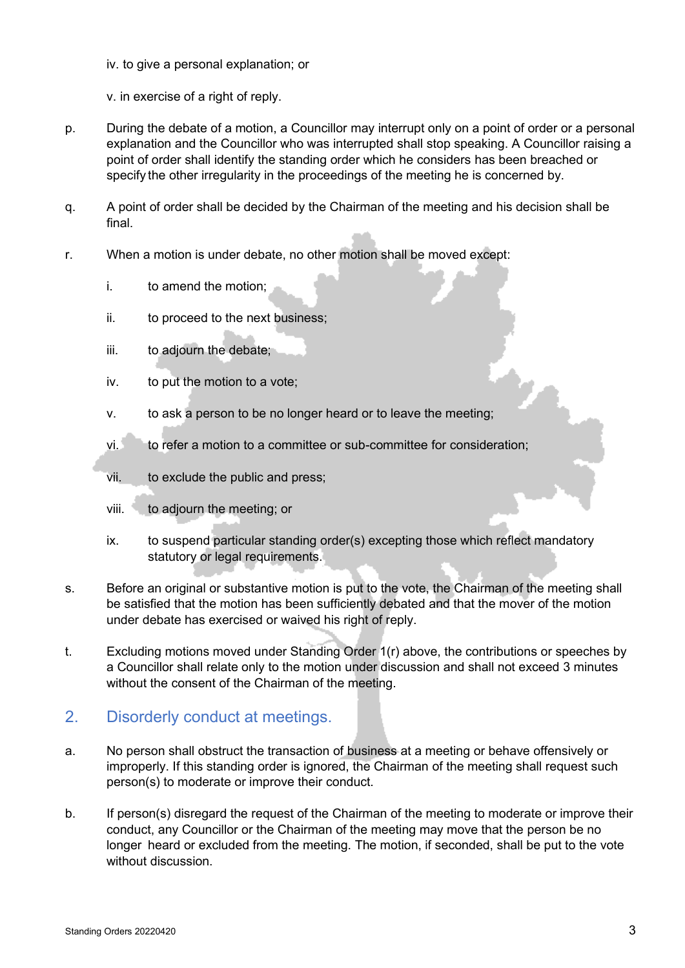iv. to give a personal explanation; or

v. in exercise of a right of reply.

- p. During the debate of a motion, a Councillor may interrupt only on a point of order or a personal explanation and the Councillor who was interrupted shall stop speaking. A Councillor raising a point of order shall identify the standing order which he considers has been breached or specify the other irregularity in the proceedings of the meeting he is concerned by.
- q. A point of order shall be decided by the Chairman of the meeting and his decision shall be final.
- r. When a motion is under debate, no other motion shall be moved except:
	- i. to amend the motion;
	- ii. to proceed to the next business;
	- iii. to adjourn the debate;
	- iv. to put the motion to a vote;
	- v. to ask a person to be no longer heard or to leave the meeting;
	- vi. to refer a motion to a committee or sub-committee for consideration;
	- vii. to exclude the public and press;
	- viii. to adjourn the meeting; or
	- ix. to suspend particular standing order(s) excepting those which reflect mandatory statutory or legal requirements.
- s. Before an original or substantive motion is put to the vote, the Chairman of the meeting shall be satisfied that the motion has been sufficiently debated and that the mover of the motion under debate has exercised or waived his right of reply.
- t. Excluding motions moved under Standing Order 1(r) above, the contributions or speeches by a Councillor shall relate only to the motion under discussion and shall not exceed 3 minutes without the consent of the Chairman of the meeting.

### 2. Disorderly conduct at meetings.

- a. No person shall obstruct the transaction of business at a meeting or behave offensively or improperly. If this standing order is ignored, the Chairman of the meeting shall request such person(s) to moderate or improve their conduct.
- b. If person(s) disregard the request of the Chairman of the meeting to moderate or improve their conduct, any Councillor or the Chairman of the meeting may move that the person be no longer heard or excluded from the meeting. The motion, if seconded, shall be put to the vote without discussion.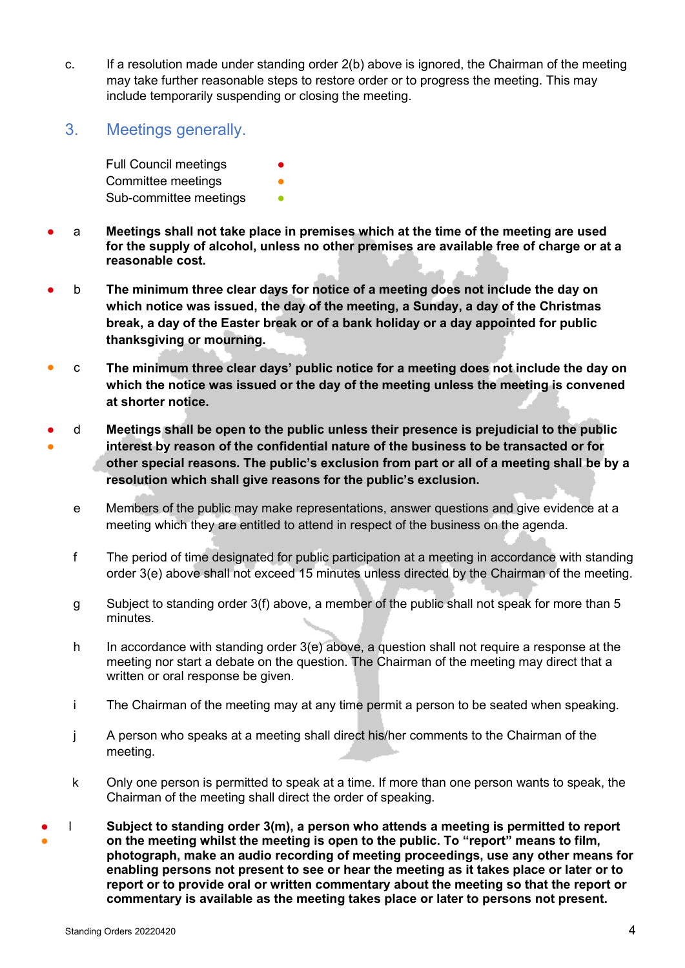- c. If a resolution made under standing order 2(b) above is ignored, the Chairman of the meeting may take further reasonable steps to restore order or to progress the meeting. This may include temporarily suspending or closing the meeting.
- 3. Meetings generally.

Full Council meetings Committee meetings Sub-committee meetings

- a **Meetings shall not take place in premises which at the time of the meeting are used for the supply of alcohol, unless no other premises are available free of charge or at a reasonable cost.**
- b **The minimum three clear days for notice of a meeting does not include the day on which notice was issued, the day of the meeting, a Sunday, a day of the Christmas break, a day of the Easter break or of a bank holiday or a day appointed for public thanksgiving or mourning.**
- c **The minimum three clear days' public notice for a meeting does not include the day on which the notice was issued or the day of the meeting unless the meeting is convened at shorter notice.**
- ● d **Meetings shall be open to the public unless their presence is prejudicial to the public interest by reason of the confidential nature of the business to be transacted or for other special reasons. The public's exclusion from part or all of a meeting shall be by a resolution which shall give reasons for the public's exclusion.**
	- e Members of the public may make representations, answer questions and give evidence at a meeting which they are entitled to attend in respect of the business on the agenda.
	- f The period of time designated for public participation at a meeting in accordance with standing order 3(e) above shall not exceed 15 minutes unless directed by the Chairman of the meeting.
	- g Subject to standing order 3(f) above, a member of the public shall not speak for more than 5 minutes.
	- h In accordance with standing order 3(e) above, a question shall not require a response at the meeting nor start a debate on the question. The Chairman of the meeting may direct that a written or oral response be given.
	- i The Chairman of the meeting may at any time permit a person to be seated when speaking.
	- j A person who speaks at a meeting shall direct his/her comments to the Chairman of the meeting.
	- k Only one person is permitted to speak at a time. If more than one person wants to speak, the Chairman of the meeting shall direct the order of speaking.
- l **Subject to standing order 3(m), a person who attends a meeting is permitted to report** on the meeting whilst the meeting is open to the public. To "report" means to film, **photograph, make an audio recording of meeting proceedings, use any other means for enabling persons not present to see or hear the meeting as it takes place or later or to report or to provide oral or written commentary about the meeting so that the report or commentary is available as the meeting takes place or later to persons not present.**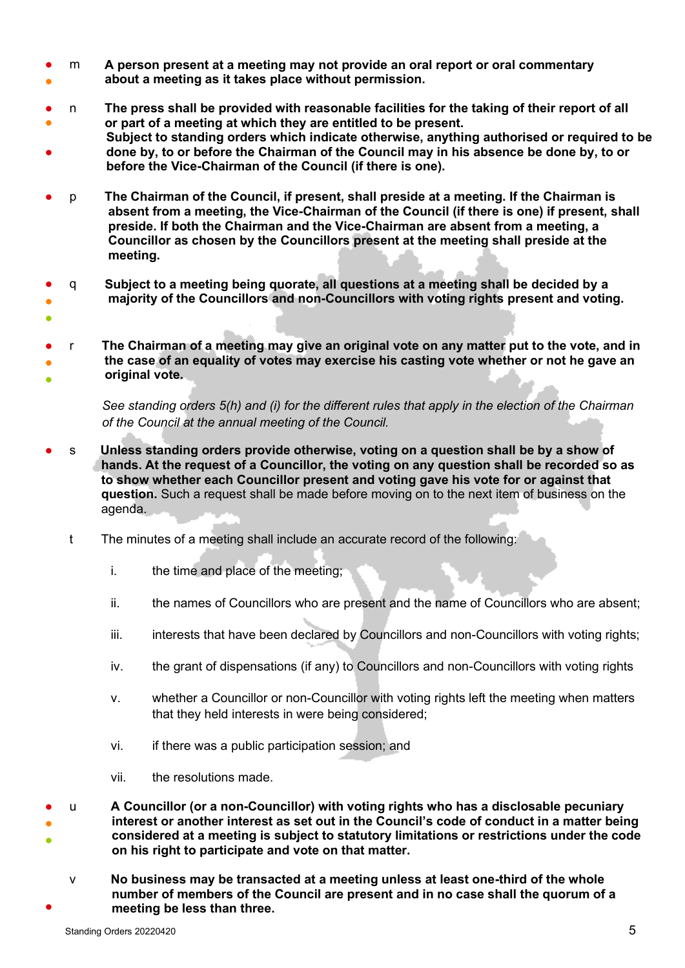- ● m **A person present at a meeting may not provide an oral report or oral commentary about a meeting as it takes place without permission.**
- ● n **The press shall be provided with reasonable facilities for the taking of their report of all or part of a meeting at which they are entitled to be present.**
- **Subject to standing orders which indicate otherwise, anything authorised or required to be done by, to or before the Chairman of the Council may in his absence be done by, to or before the Vice-Chairman of the Council (if there is one).**
- p **The Chairman of the Council, if present, shall preside at a meeting. If the Chairman is absent from a meeting, the Vice-Chairman of the Council (if there is one) if present, shall preside. If both the Chairman and the Vice-Chairman are absent from a meeting, a Councillor as chosen by the Councillors present at the meeting shall preside at the meeting.**
- ● q **Subject to a meeting being quorate, all questions at a meeting shall be decided by a majority of the Councillors and non-Councillors with voting rights present and voting.**
- ● ● r **The Chairman of a meeting may give an original vote on any matter put to the vote, and in the case of an equality of votes may exercise his casting vote whether or not he gave an original vote.**

*See standing orders 5(h) and (i) for the different rules that apply in the election of the Chairman of the Council at the annual meeting of the Council.*

- s **Unless standing orders provide otherwise, voting on a question shall be by a show of hands. At the request of a Councillor, the voting on any question shall be recorded so as to show whether each Councillor present and voting gave his vote for or against that question.** Such a request shall be made before moving on to the next item of business on the agenda.
	- t The minutes of a meeting shall include an accurate record of the following:
		- i. the time and place of the meeting;
		- ii. the names of Councillors who are present and the name of Councillors who are absent;
		- iii. interests that have been declared by Councillors and non-Councillors with voting rights;
		- iv. the grant of dispensations (if any) to Councillors and non-Councillors with voting rights
		- v. whether a Councillor or non-Councillor with voting rights left the meeting when matters that they held interests in were being considered;
		- vi. if there was a public participation session; and
		- vii. the resolutions made.

● ● ● u **A Councillor (or a non-Councillor) with voting rights who has a disclosable pecuniary interest or another interest as set out in the Council's code of conduct in a matter being considered at a meeting is subject to statutory limitations or restrictions under the code on his right to participate and vote on that matter.** 

● v **No business may be transacted at a meeting unless at least one-third of the whole number of members of the Council are present and in no case shall the quorum of a meeting be less than three.**

●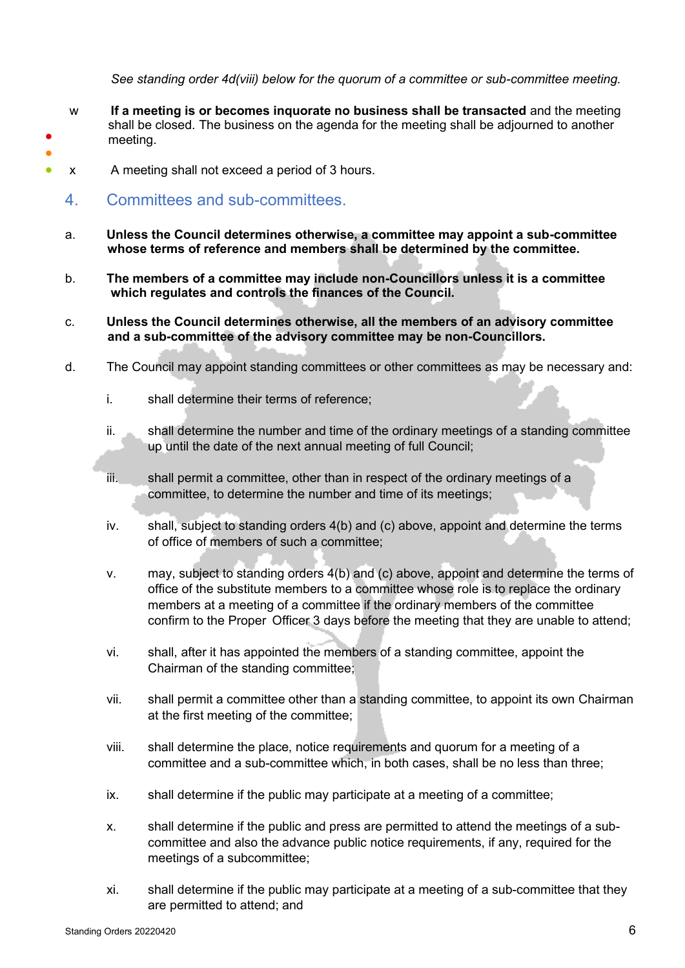*See standing order 4d(viii) below for the quorum of a committee or sub-committee meeting.* 

- w **If a meeting is or becomes inquorate no business shall be transacted** and the meeting shall be closed. The business on the agenda for the meeting shall be adjourned to another meeting.
- x A meeting shall not exceed a period of 3 hours.
	- 4. Committees and sub-committees.

● ●

- a. **Unless the Council determines otherwise, a committee may appoint a sub-committee whose terms of reference and members shall be determined by the committee.**
- b. **The members of a committee may include non-Councillors unless it is a committee which regulates and controls the finances of the Council.**
- c. **Unless the Council determines otherwise, all the members of an advisory committee and a sub-committee of the advisory committee may be non-Councillors.**
- d. The Council may appoint standing committees or other committees as may be necessary and:
	- i. shall determine their terms of reference;
	- ii. shall determine the number and time of the ordinary meetings of a standing committee up until the date of the next annual meeting of full Council;
	- iii. shall permit a committee, other than in respect of the ordinary meetings of a committee, to determine the number and time of its meetings;
	- iv. shall, subject to standing orders 4(b) and (c) above, appoint and determine the terms of office of members of such a committee;
	- v. may, subject to standing orders 4(b) and (c) above, appoint and determine the terms of office of the substitute members to a committee whose role is to replace the ordinary members at a meeting of a committee if the ordinary members of the committee confirm to the Proper Officer 3 days before the meeting that they are unable to attend;
	- vi. shall, after it has appointed the members of a standing committee, appoint the Chairman of the standing committee;
	- vii. shall permit a committee other than a standing committee, to appoint its own Chairman at the first meeting of the committee;
	- viii. shall determine the place, notice requirements and quorum for a meeting of a committee and a sub-committee which, in both cases, shall be no less than three;
	- ix. shall determine if the public may participate at a meeting of a committee;
	- x. shall determine if the public and press are permitted to attend the meetings of a subcommittee and also the advance public notice requirements, if any, required for the meetings of a subcommittee;
	- xi. shall determine if the public may participate at a meeting of a sub-committee that they are permitted to attend; and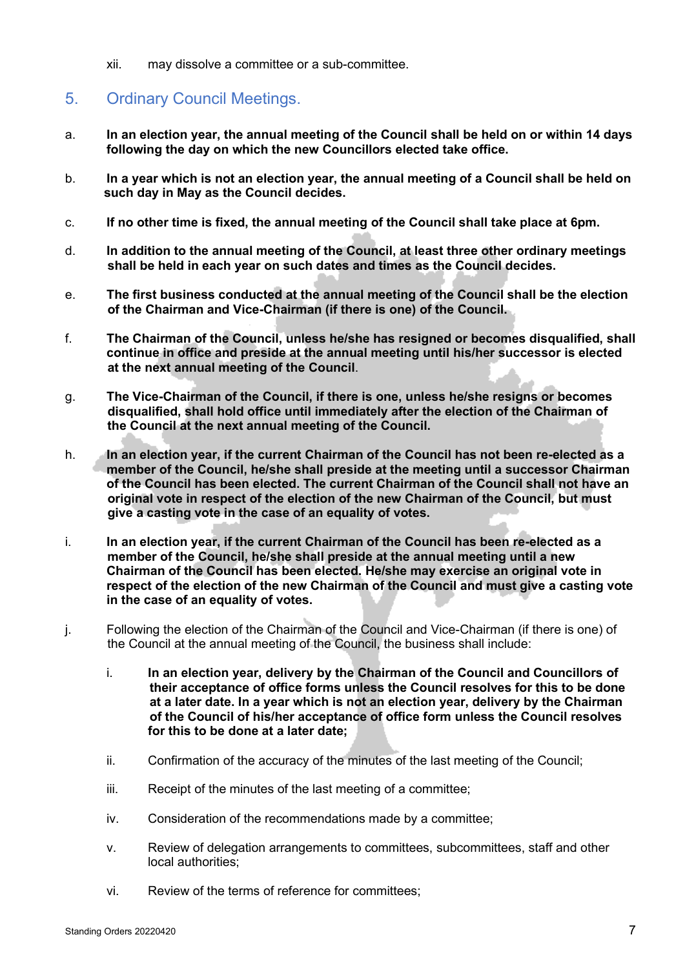xii. may dissolve a committee or a sub-committee.

# 5. Ordinary Council Meetings.

- a. **In an election year, the annual meeting of the Council shall be held on or within 14 days following the day on which the new Councillors elected take office.**
- b. **In a year which is not an election year, the annual meeting of a Council shall be held on such day in May as the Council decides.**
- c. **If no other time is fixed, the annual meeting of the Council shall take place at 6pm.**
- d. **In addition to the annual meeting of the Council, at least three other ordinary meetings shall be held in each year on such dates and times as the Council decides.**
- e. **The first business conducted at the annual meeting of the Council shall be the election of the Chairman and Vice-Chairman (if there is one) of the Council.**
- f. **The Chairman of the Council, unless he/she has resigned or becomes disqualified, shall continue in office and preside at the annual meeting until his/her successor is elected at the next annual meeting of the Council**.
- g. **The Vice-Chairman of the Council, if there is one, unless he/she resigns or becomes disqualified, shall hold office until immediately after the election of the Chairman of the Council at the next annual meeting of the Council.**
- h. **In an election year, if the current Chairman of the Council has not been re-elected as a member of the Council, he/she shall preside at the meeting until a successor Chairman of the Council has been elected. The current Chairman of the Council shall not have an original vote in respect of the election of the new Chairman of the Council, but must give a casting vote in the case of an equality of votes.**
- i. **In an election year, if the current Chairman of the Council has been re-elected as a member of the Council, he/she shall preside at the annual meeting until a new Chairman of the Council has been elected. He/she may exercise an original vote in respect of the election of the new Chairman of the Council and must give a casting vote in the case of an equality of votes.**
- j. Following the election of the Chairman of the Council and Vice-Chairman (if there is one) of the Council at the annual meeting of the Council, the business shall include:
	- i. **In an election year, delivery by the Chairman of the Council and Councillors of their acceptance of office forms unless the Council resolves for this to be done at a later date. In a year which is not an election year, delivery by the Chairman of the Council of his/her acceptance of office form unless the Council resolves for this to be done at a later date;**
	- ii. Confirmation of the accuracy of the minutes of the last meeting of the Council;
	- iii. Receipt of the minutes of the last meeting of a committee;
	- iv. Consideration of the recommendations made by a committee;
	- v. Review of delegation arrangements to committees, subcommittees, staff and other local authorities;
	- vi. Review of the terms of reference for committees;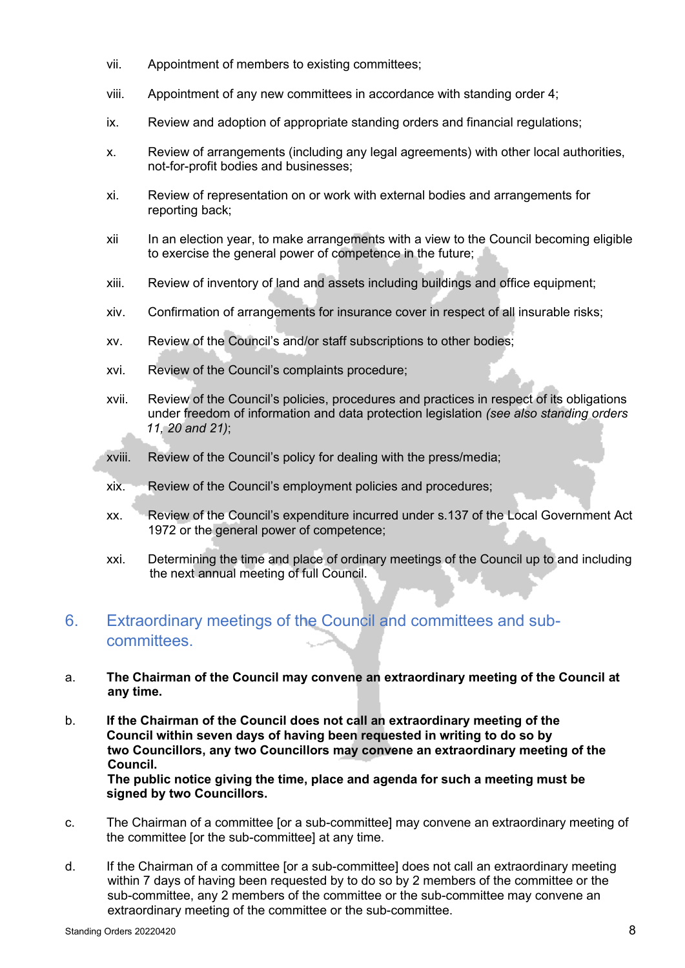- vii. Appointment of members to existing committees;
- viii. Appointment of any new committees in accordance with standing order 4;
- ix. Review and adoption of appropriate standing orders and financial regulations;
- x. Review of arrangements (including any legal agreements) with other local authorities, not-for-profit bodies and businesses;
- xi. Review of representation on or work with external bodies and arrangements for reporting back;
- xii In an election year, to make arrangements with a view to the Council becoming eligible to exercise the general power of competence in the future;
- xiii. Review of inventory of land and assets including buildings and office equipment;
- xiv. Confirmation of arrangements for insurance cover in respect of all insurable risks;
- xv. Review of the Council's and/or staff subscriptions to other bodies;
- xvi. Review of the Council's complaints procedure;
- xvii. Review of the Council's policies, procedures and practices in respect of its obligations under freedom of information and data protection legislation *(see also standing orders 11, 20 and 21)*;
- xviii. Review of the Council's policy for dealing with the press/media;
- xix. Review of the Council's employment policies and procedures;
- xx. Review of the Council's expenditure incurred under s.137 of the Local Government Act 1972 or the general power of competence;
- xxi. Determining the time and place of ordinary meetings of the Council up to and including the next annual meeting of full Council.

### 6. Extraordinary meetings of the Council and committees and subcommittees.

- a. **The Chairman of the Council may convene an extraordinary meeting of the Council at any time.**
- b. **If the Chairman of the Council does not call an extraordinary meeting of the Council within seven days of having been requested in writing to do so by two Councillors, any two Councillors may convene an extraordinary meeting of the Council.**

 **The public notice giving the time, place and agenda for such a meeting must be signed by two Councillors.** 

- c. The Chairman of a committee [or a sub-committee] may convene an extraordinary meeting of the committee [or the sub-committee] at any time.
- d. If the Chairman of a committee [or a sub-committee] does not call an extraordinary meeting within 7 days of having been requested by to do so by 2 members of the committee or the sub-committee, any 2 members of the committee or the sub-committee may convene an extraordinary meeting of the committee or the sub-committee.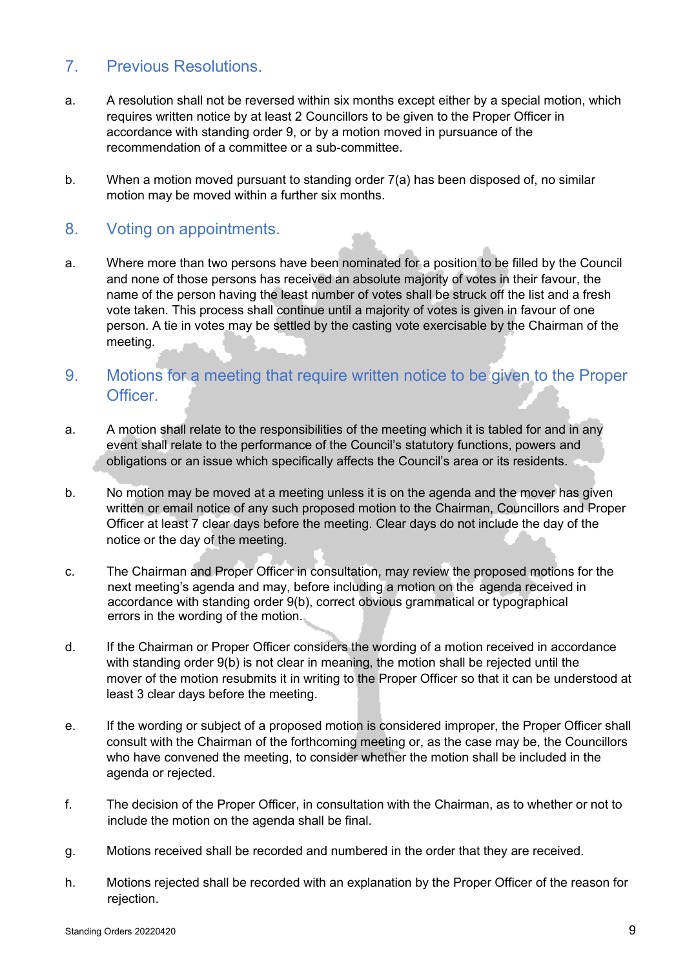### 7. Previous Resolutions.

- a. A resolution shall not be reversed within six months except either by a special motion, which requires written notice by at least 2 Councillors to be given to the Proper Officer in accordance with standing order 9, or by a motion moved in pursuance of the recommendation of a committee or a sub-committee.
- b. When a motion moved pursuant to standing order 7(a) has been disposed of, no similar motion may be moved within a further six months.

#### 8. Voting on appointments.

- a. Where more than two persons have been nominated for a position to be filled by the Council and none of those persons has received an absolute majority of votes in their favour, the name of the person having the least number of votes shall be struck off the list and a fresh vote taken. This process shall continue until a majority of votes is given in favour of one person. A tie in votes may be settled by the casting vote exercisable by the Chairman of the meeting.
- 9. Motions for a meeting that require written notice to be given to the Proper Officer.
- a. A motion shall relate to the responsibilities of the meeting which it is tabled for and in any event shall relate to the performance of the Council's statutory functions, powers and obligations or an issue which specifically affects the Council's area or its residents.
- b. No motion may be moved at a meeting unless it is on the agenda and the mover has given written or email notice of any such proposed motion to the Chairman, Councillors and Proper Officer at least 7 clear days before the meeting. Clear days do not include the day of the notice or the day of the meeting.
- c. The Chairman and Proper Officer in consultation, may review the proposed motions for the next meeting's agenda and may, before including a motion on the agenda received in accordance with standing order 9(b), correct obvious grammatical or typographical errors in the wording of the motion.
- d. If the Chairman or Proper Officer considers the wording of a motion received in accordance with standing order 9(b) is not clear in meaning, the motion shall be rejected until the mover of the motion resubmits it in writing to the Proper Officer so that it can be understood at least 3 clear days before the meeting.
- e. If the wording or subject of a proposed motion is considered improper, the Proper Officer shall consult with the Chairman of the forthcoming meeting or, as the case may be, the Councillors who have convened the meeting, to consider whether the motion shall be included in the agenda or rejected.
- f. The decision of the Proper Officer, in consultation with the Chairman, as to whether or not to include the motion on the agenda shall be final.
- g. Motions received shall be recorded and numbered in the order that they are received.
- h. Motions rejected shall be recorded with an explanation by the Proper Officer of the reason for rejection.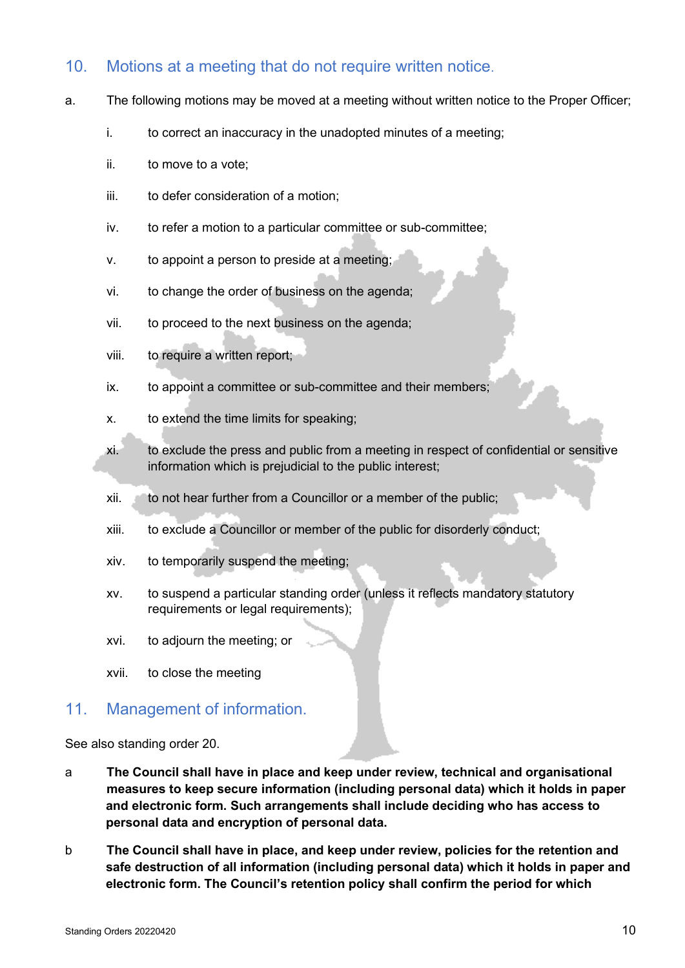### 10. Motions at a meeting that do not require written notice.

- a. The following motions may be moved at a meeting without written notice to the Proper Officer;
	- i. to correct an inaccuracy in the unadopted minutes of a meeting;
	- ii. to move to a vote;
	- iii. to defer consideration of a motion;
	- iv. to refer a motion to a particular committee or sub-committee;
	- v. to appoint a person to preside at a meeting;
	- vi. to change the order of business on the agenda;
	- vii. to proceed to the next business on the agenda;
	- viii. to require a written report;
	- ix. to appoint a committee or sub-committee and their members;
	- x. to extend the time limits for speaking;
	- xi. to exclude the press and public from a meeting in respect of confidential or sensitive information which is prejudicial to the public interest;
	- xii. to not hear further from a Councillor or a member of the public;
	- xiii. to exclude a Councillor or member of the public for disorderly conduct;
	- xiv. to temporarily suspend the meeting;
	- xv. to suspend a particular standing order (unless it reflects mandatory statutory requirements or legal requirements);
	- xvi. to adjourn the meeting; or
	- xvii. to close the meeting

#### 11. Management of information.

See also standing order 20.

- a **The Council shall have in place and keep under review, technical and organisational measures to keep secure information (including personal data) which it holds in paper and electronic form. Such arrangements shall include deciding who has access to personal data and encryption of personal data.**
- b **The Council shall have in place, and keep under review, policies for the retention and safe destruction of all information (including personal data) which it holds in paper and electronic form. The Council's retention policy shall confirm the period for which**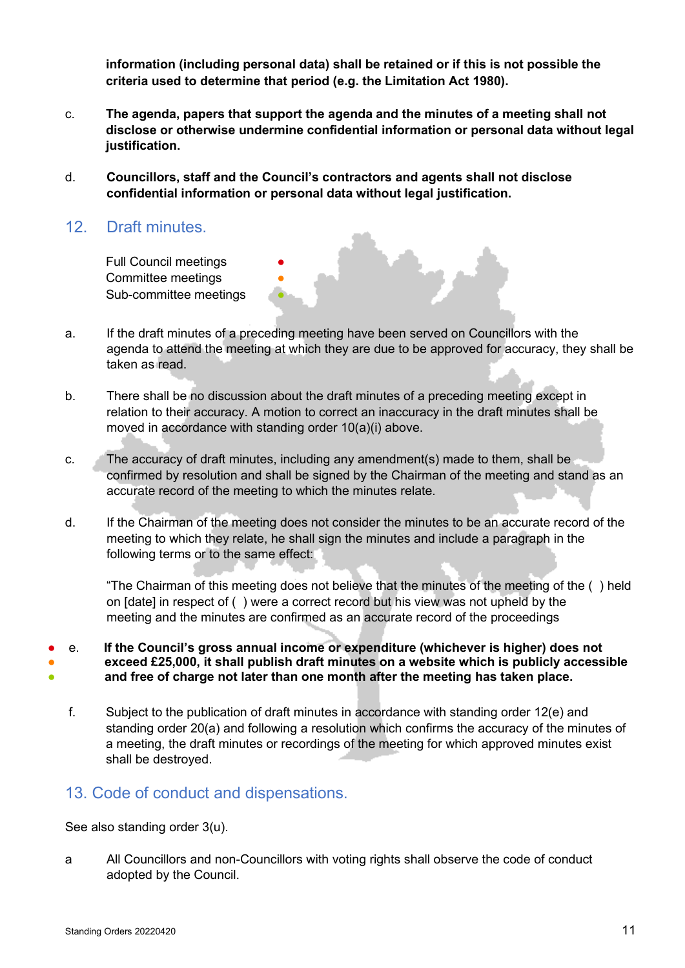**information (including personal data) shall be retained or if this is not possible the criteria used to determine that period (e.g. the Limitation Act 1980).** 

- c. **The agenda, papers that support the agenda and the minutes of a meeting shall not disclose or otherwise undermine confidential information or personal data without legal justification.**
- d. **Councillors, staff and the Council's contractors and agents shall not disclose confidential information or personal data without legal justification.**
- 12. Draft minutes.

Full Council meetings Committee meetings Sub-committee meetings

- a. If the draft minutes of a preceding meeting have been served on Councillors with the agenda to attend the meeting at which they are due to be approved for accuracy, they shall be taken as read.
- b. There shall be no discussion about the draft minutes of a preceding meeting except in relation to their accuracy. A motion to correct an inaccuracy in the draft minutes shall be moved in accordance with standing order 10(a)(i) above.
- c. The accuracy of draft minutes, including any amendment(s) made to them, shall be confirmed by resolution and shall be signed by the Chairman of the meeting and stand as an accurate record of the meeting to which the minutes relate.
- d. If the Chairman of the meeting does not consider the minutes to be an accurate record of the meeting to which they relate, he shall sign the minutes and include a paragraph in the following terms or to the same effect:

"The Chairman of this meeting does not believe that the minutes of the meeting of the ( ) held on [date] in respect of ( ) were a correct record but his view was not upheld by the meeting and the minutes are confirmed as an accurate record of the proceedings

- e. **If the Council's gross annual income or expenditure (whichever is higher) does not**
- ● **exceed £25,000, it shall publish draft minutes on a website which is publicly accessible**
- **and free of charge not later than one month after the meeting has taken place.**
	- f. Subject to the publication of draft minutes in accordance with standing order 12(e) and standing order 20(a) and following a resolution which confirms the accuracy of the minutes of a meeting, the draft minutes or recordings of the meeting for which approved minutes exist shall be destroyed.

# 13. Code of conduct and dispensations.

See also standing order 3(u).

a All Councillors and non-Councillors with voting rights shall observe the code of conduct adopted by the Council.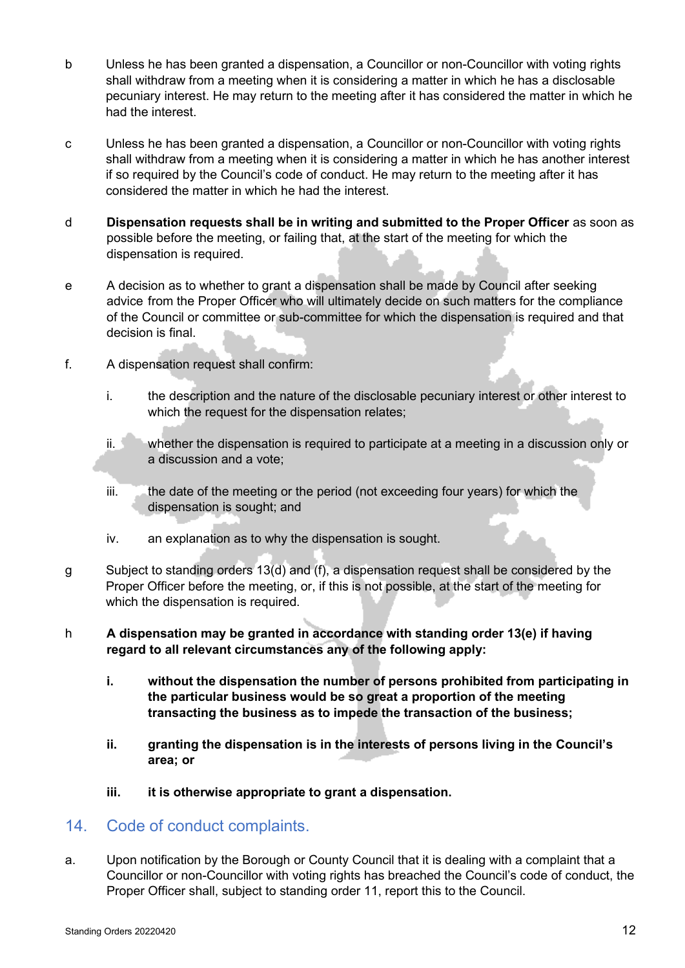- b Unless he has been granted a dispensation, a Councillor or non-Councillor with voting rights shall withdraw from a meeting when it is considering a matter in which he has a disclosable pecuniary interest. He may return to the meeting after it has considered the matter in which he had the interest.
- c Unless he has been granted a dispensation, a Councillor or non-Councillor with voting rights shall withdraw from a meeting when it is considering a matter in which he has another interest if so required by the Council's code of conduct. He may return to the meeting after it has considered the matter in which he had the interest.
- d **Dispensation requests shall be in writing and submitted to the Proper Officer** as soon as possible before the meeting, or failing that, at the start of the meeting for which the dispensation is required.
- e A decision as to whether to grant a dispensation shall be made by Council after seeking advice from the Proper Officer who will ultimately decide on such matters for the compliance of the Council or committee or sub-committee for which the dispensation is required and that decision is final.
- f. A dispensation request shall confirm:
	- i. the description and the nature of the disclosable pecuniary interest or other interest to which the request for the dispensation relates;
	- ii. whether the dispensation is required to participate at a meeting in a discussion only or a discussion and a vote;
	- iii. the date of the meeting or the period (not exceeding four years) for which the dispensation is sought; and
	- iv. an explanation as to why the dispensation is sought.
- g Subject to standing orders 13(d) and (f), a dispensation request shall be considered by the Proper Officer before the meeting, or, if this is not possible, at the start of the meeting for which the dispensation is required.
- h **A dispensation may be granted in accordance with standing order 13(e) if having regard to all relevant circumstances any of the following apply:** 
	- **i. without the dispensation the number of persons prohibited from participating in the particular business would be so great a proportion of the meeting transacting the business as to impede the transaction of the business;**
	- **ii. granting the dispensation is in the interests of persons living in the Council's area; or**
	- **iii. it is otherwise appropriate to grant a dispensation.**
- 14. Code of conduct complaints.
- a. Upon notification by the Borough or County Council that it is dealing with a complaint that a Councillor or non-Councillor with voting rights has breached the Council's code of conduct, the Proper Officer shall, subject to standing order 11, report this to the Council.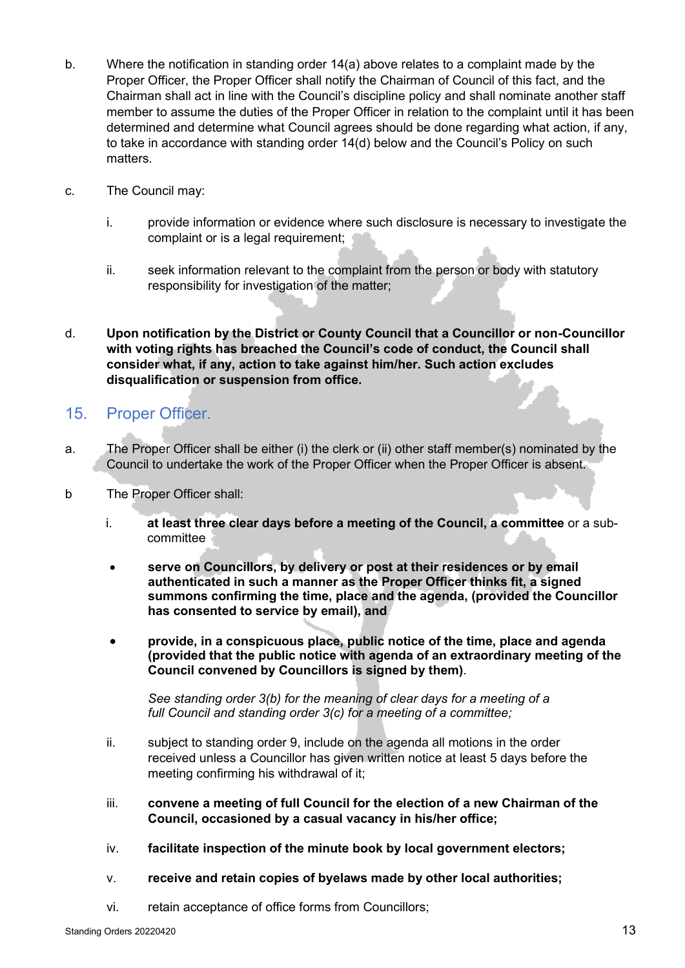- b. Where the notification in standing order 14(a) above relates to a complaint made by the Proper Officer, the Proper Officer shall notify the Chairman of Council of this fact, and the Chairman shall act in line with the Council's discipline policy and shall nominate another staff member to assume the duties of the Proper Officer in relation to the complaint until it has been determined and determine what Council agrees should be done regarding what action, if any, to take in accordance with standing order 14(d) below and the Council's Policy on such matters.
- c. The Council may:
	- i. provide information or evidence where such disclosure is necessary to investigate the complaint or is a legal requirement;
	- ii. seek information relevant to the complaint from the person or body with statutory responsibility for investigation of the matter;
- d. **Upon notification by the District or County Council that a Councillor or non-Councillor with voting rights has breached the Council's code of conduct, the Council shall consider what, if any, action to take against him/her. Such action excludes disqualification or suspension from office.**

# 15. Proper Officer.

- a. The Proper Officer shall be either (i) the clerk or (ii) other staff member(s) nominated by the Council to undertake the work of the Proper Officer when the Proper Officer is absent.
- b The Proper Officer shall:
	- i. **at least three clear days before a meeting of the Council, a committee** or a subcommittee
	- **serve on Councillors, by delivery or post at their residences or by email authenticated in such a manner as the Proper Officer thinks fit, a signed summons confirming the time, place and the agenda, (provided the Councillor has consented to service by email), and**
	- **provide, in a conspicuous place, public notice of the time, place and agenda (provided that the public notice with agenda of an extraordinary meeting of the Council convened by Councillors is signed by them)**.

*See standing order 3(b) for the meaning of clear days for a meeting of a full Council and standing order 3(c) for a meeting of a committee;*

- ii. subject to standing order 9, include on the agenda all motions in the order received unless a Councillor has given written notice at least 5 days before the meeting confirming his withdrawal of it;
- iii. **convene a meeting of full Council for the election of a new Chairman of the Council, occasioned by a casual vacancy in his/her office;**
- iv. **facilitate inspection of the minute book by local government electors;**
- v. **receive and retain copies of byelaws made by other local authorities;**
- vi. retain acceptance of office forms from Councillors;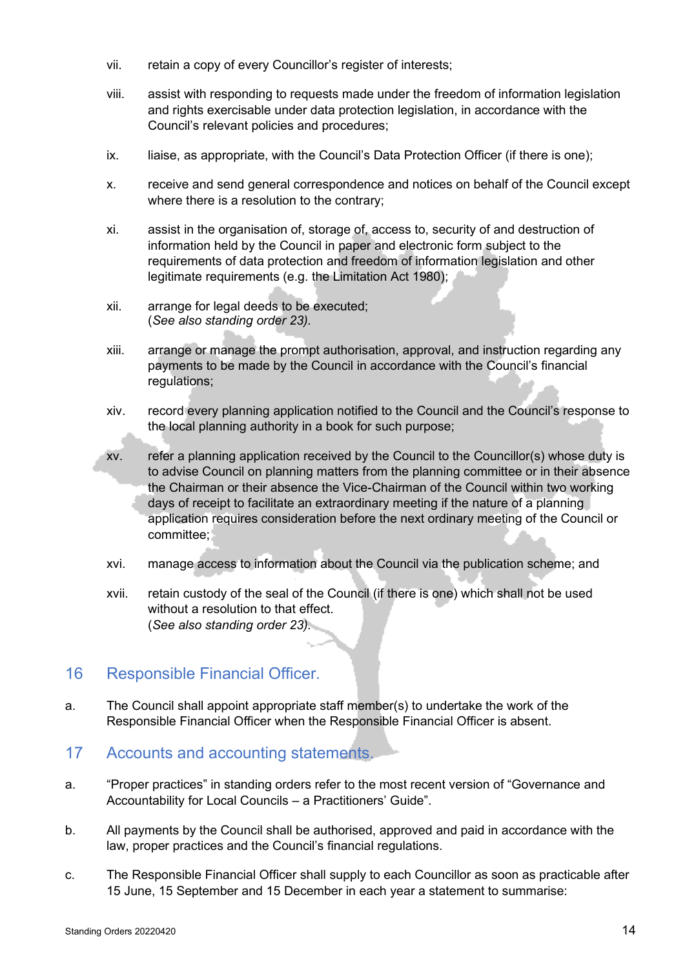- vii. retain a copy of every Councillor's register of interests;
- viii. assist with responding to requests made under the freedom of information legislation and rights exercisable under data protection legislation, in accordance with the Council's relevant policies and procedures;
- ix. liaise, as appropriate, with the Council's Data Protection Officer (if there is one);
- x. receive and send general correspondence and notices on behalf of the Council except where there is a resolution to the contrary;
- xi. assist in the organisation of, storage of, access to, security of and destruction of information held by the Council in paper and electronic form subject to the requirements of data protection and freedom of information legislation and other legitimate requirements (e.g. the Limitation Act 1980);
- xii. arrange for legal deeds to be executed; (*See also standing order 23).*
- xiii. arrange or manage the prompt authorisation, approval, and instruction regarding any payments to be made by the Council in accordance with the Council's financial regulations;
- xiv. record every planning application notified to the Council and the Council's response to the local planning authority in a book for such purpose;
- xv. refer a planning application received by the Council to the Councillor(s) whose duty is to advise Council on planning matters from the planning committee or in their absence the Chairman or their absence the Vice-Chairman of the Council within two working days of receipt to facilitate an extraordinary meeting if the nature of a planning application requires consideration before the next ordinary meeting of the Council or committee;
- xvi. manage access to information about the Council via the publication scheme; and
- xvii. retain custody of the seal of the Council (if there is one) which shall not be used without a resolution to that effect. (*See also standing order 23).*

#### 16 Responsible Financial Officer.

a. The Council shall appoint appropriate staff member(s) to undertake the work of the Responsible Financial Officer when the Responsible Financial Officer is absent.

#### 17 Accounts and accounting statements.

- a. "Proper practices" in standing orders refer to the most recent version of "Governance and Accountability for Local Councils – a Practitioners' Guide".
- b. All payments by the Council shall be authorised, approved and paid in accordance with the law, proper practices and the Council's financial regulations.
- c. The Responsible Financial Officer shall supply to each Councillor as soon as practicable after 15 June, 15 September and 15 December in each year a statement to summarise: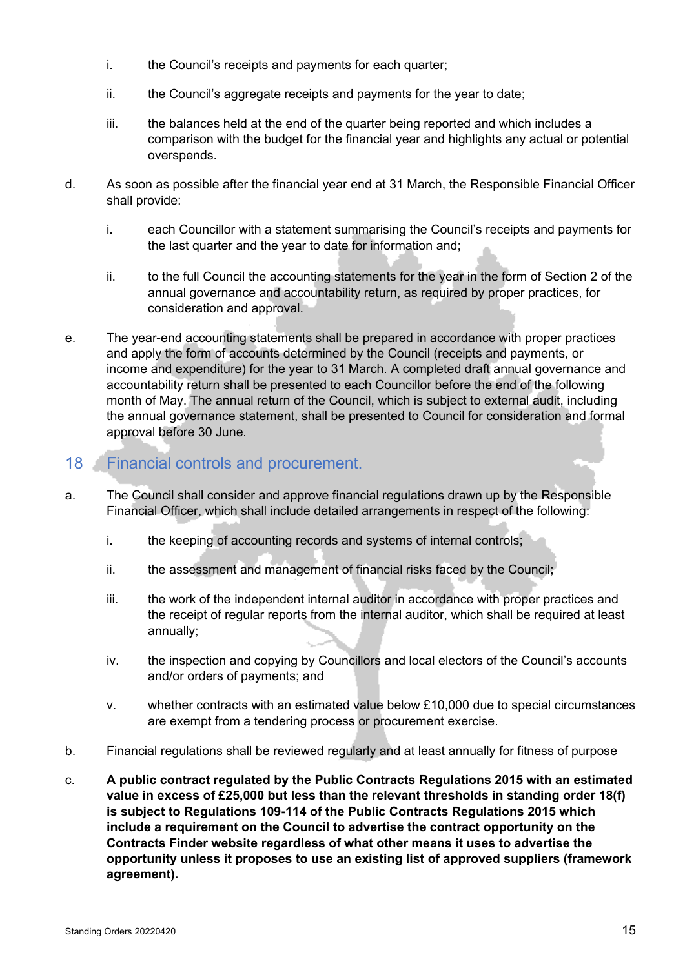- i. the Council's receipts and payments for each quarter;
- ii. the Council's aggregate receipts and payments for the year to date;
- iii. the balances held at the end of the quarter being reported and which includes a comparison with the budget for the financial year and highlights any actual or potential overspends.
- d. As soon as possible after the financial year end at 31 March, the Responsible Financial Officer shall provide:
	- i. each Councillor with a statement summarising the Council's receipts and payments for the last quarter and the year to date for information and;
	- ii. to the full Council the accounting statements for the year in the form of Section 2 of the annual governance and accountability return, as required by proper practices, for consideration and approval.
- e. The year-end accounting statements shall be prepared in accordance with proper practices and apply the form of accounts determined by the Council (receipts and payments, or income and expenditure) for the year to 31 March. A completed draft annual governance and accountability return shall be presented to each Councillor before the end of the following month of May. The annual return of the Council, which is subject to external audit, including the annual governance statement, shall be presented to Council for consideration and formal approval before 30 June.

# 18 Financial controls and procurement.

- a. The Council shall consider and approve financial regulations drawn up by the Responsible Financial Officer, which shall include detailed arrangements in respect of the following:
	- i. the keeping of accounting records and systems of internal controls;
	- ii. the assessment and management of financial risks faced by the Council;
	- iii. the work of the independent internal auditor in accordance with proper practices and the receipt of regular reports from the internal auditor, which shall be required at least annually;
	- iv. the inspection and copying by Councillors and local electors of the Council's accounts and/or orders of payments; and
	- v. whether contracts with an estimated value below £10,000 due to special circumstances are exempt from a tendering process or procurement exercise.
- b. Financial regulations shall be reviewed regularly and at least annually for fitness of purpose
- c. **A public contract regulated by the Public Contracts Regulations 2015 with an estimated value in excess of £25,000 but less than the relevant thresholds in standing order 18(f) is subject to Regulations 109-114 of the Public Contracts Regulations 2015 which include a requirement on the Council to advertise the contract opportunity on the Contracts Finder website regardless of what other means it uses to advertise the opportunity unless it proposes to use an existing list of approved suppliers (framework agreement).**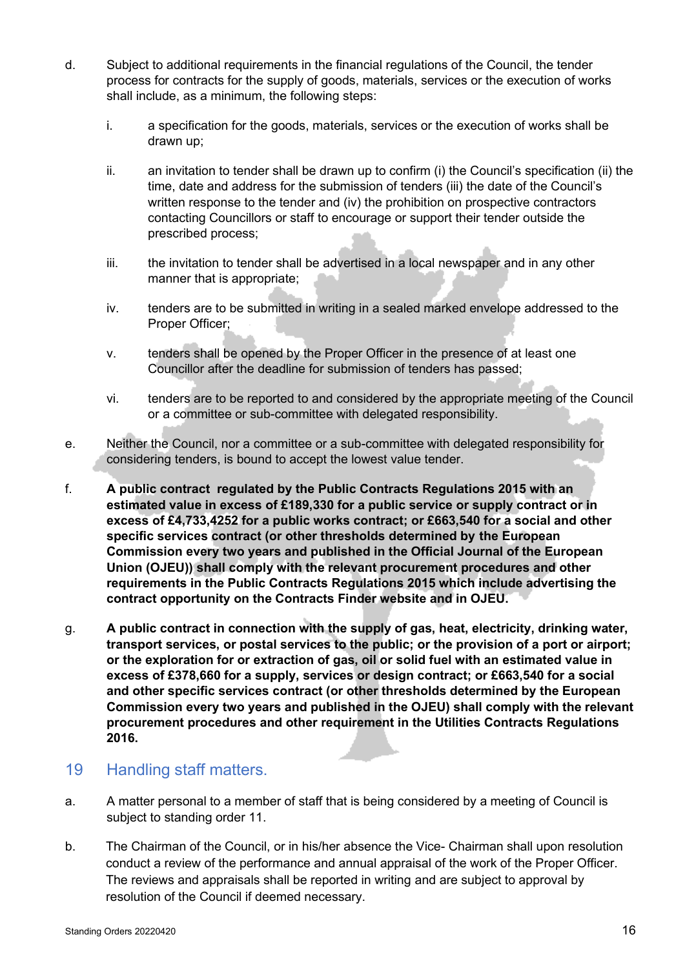- d. Subject to additional requirements in the financial regulations of the Council, the tender process for contracts for the supply of goods, materials, services or the execution of works shall include, as a minimum, the following steps:
	- i. a specification for the goods, materials, services or the execution of works shall be drawn up;
	- ii. an invitation to tender shall be drawn up to confirm (i) the Council's specification (ii) the time, date and address for the submission of tenders (iii) the date of the Council's written response to the tender and (iv) the prohibition on prospective contractors contacting Councillors or staff to encourage or support their tender outside the prescribed process;
	- iii. the invitation to tender shall be advertised in a local newspaper and in any other manner that is appropriate;
	- iv. tenders are to be submitted in writing in a sealed marked envelope addressed to the Proper Officer;
	- v. tenders shall be opened by the Proper Officer in the presence of at least one Councillor after the deadline for submission of tenders has passed;
	- vi. tenders are to be reported to and considered by the appropriate meeting of the Council or a committee or sub-committee with delegated responsibility.
- e. Neither the Council, nor a committee or a sub-committee with delegated responsibility for considering tenders, is bound to accept the lowest value tender.
- f. **A public contract regulated by the Public Contracts Regulations 2015 with an estimated value in excess of £189,330 for a public service or supply contract or in excess of £4,733,4252 for a public works contract; or £663,540 for a social and other specific services contract (or other thresholds determined by the European Commission every two years and published in the Official Journal of the European Union (OJEU)) shall comply with the relevant procurement procedures and other requirements in the Public Contracts Regulations 2015 which include advertising the contract opportunity on the Contracts Finder website and in OJEU.**
- g. **A public contract in connection with the supply of gas, heat, electricity, drinking water, transport services, or postal services to the public; or the provision of a port or airport; or the exploration for or extraction of gas, oil or solid fuel with an estimated value in excess of £378,660 for a supply, services or design contract; or £663,540 for a social and other specific services contract (or other thresholds determined by the European Commission every two years and published in the OJEU) shall comply with the relevant procurement procedures and other requirement in the Utilities Contracts Regulations 2016.**

#### 19 Handling staff matters.

- a. A matter personal to a member of staff that is being considered by a meeting of Council is subject to standing order 11.
- b. The Chairman of the Council, or in his/her absence the Vice- Chairman shall upon resolution conduct a review of the performance and annual appraisal of the work of the Proper Officer. The reviews and appraisals shall be reported in writing and are subject to approval by resolution of the Council if deemed necessary.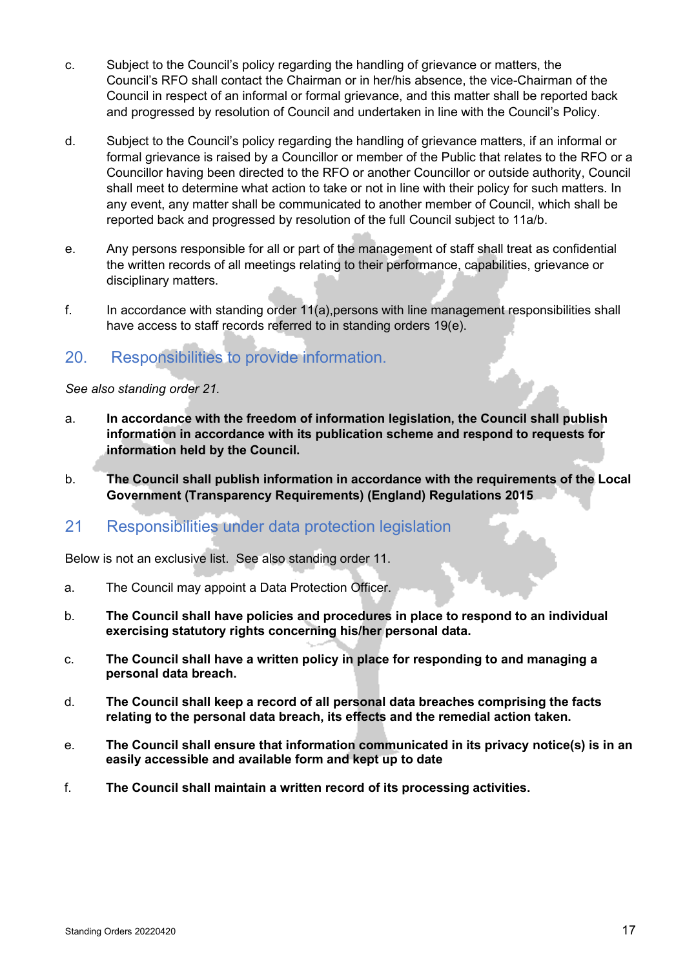- c. Subject to the Council's policy regarding the handling of grievance or matters, the Council's RFO shall contact the Chairman or in her/his absence, the vice-Chairman of the Council in respect of an informal or formal grievance, and this matter shall be reported back and progressed by resolution of Council and undertaken in line with the Council's Policy.
- d. Subject to the Council's policy regarding the handling of grievance matters, if an informal or formal grievance is raised by a Councillor or member of the Public that relates to the RFO or a Councillor having been directed to the RFO or another Councillor or outside authority, Council shall meet to determine what action to take or not in line with their policy for such matters. In any event, any matter shall be communicated to another member of Council, which shall be reported back and progressed by resolution of the full Council subject to 11a/b.
- e. Any persons responsible for all or part of the management of staff shall treat as confidential the written records of all meetings relating to their performance, capabilities, grievance or disciplinary matters.
- f. In accordance with standing order 11(a),persons with line management responsibilities shall have access to staff records referred to in standing orders 19(e).

# 20. Responsibilities to provide information.

*See also standing order 21.*

- a. **In accordance with the freedom of information legislation, the Council shall publish information in accordance with its publication scheme and respond to requests for information held by the Council.**
- b. **The Council shall publish information in accordance with the requirements of the Local Government (Transparency Requirements) (England) Regulations 2015**

#### 21 Responsibilities under data protection legislation

Below is not an exclusive list. See also standing order 11.

- a. The Council may appoint a Data Protection Officer.
- b. **The Council shall have policies and procedures in place to respond to an individual exercising statutory rights concerning his/her personal data.**
- c. **The Council shall have a written policy in place for responding to and managing a personal data breach.**
- d. **The Council shall keep a record of all personal data breaches comprising the facts relating to the personal data breach, its effects and the remedial action taken.**
- e. **The Council shall ensure that information communicated in its privacy notice(s) is in an easily accessible and available form and kept up to date**
- f. **The Council shall maintain a written record of its processing activities.**